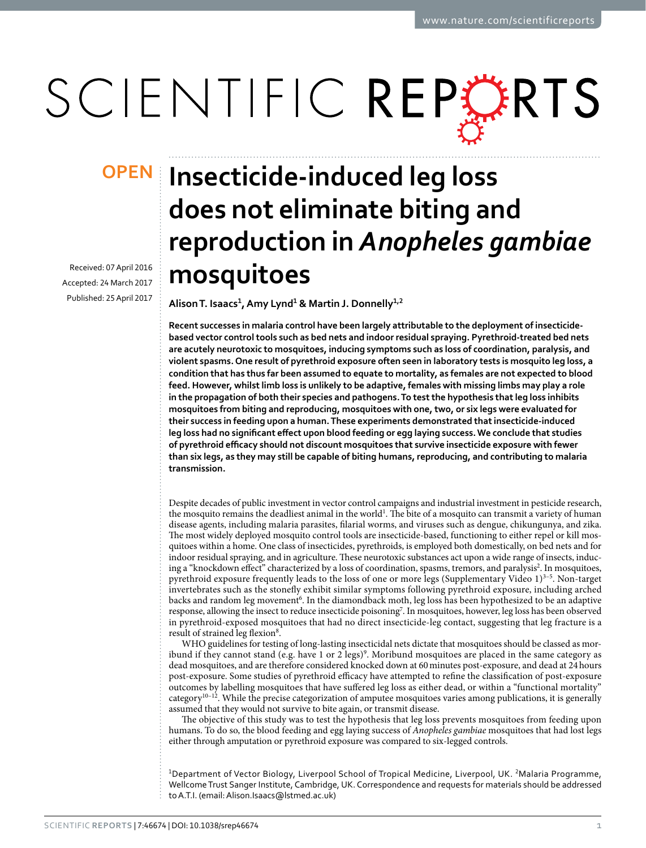# SCIENTIFIC REPORTS

Received: 07 April 2016 accepted: 24 March 2017 Published: 25 April 2017

## **Insecticide-induced leg loss OPENdoes not eliminate biting and reproduction in** *Anopheles gambiae* **mosquitoes**

**AlisonT. Isaacs<sup>1</sup>, Amy Lynd<sup>1</sup> & Martin J. Donnelly<sup>1</sup>,<sup>2</sup>**

**Recent successes in malaria control have been largely attributable to the deployment of insecticidebased vector control tools such as bed nets and indoor residual spraying. Pyrethroid-treated bed nets are acutely neurotoxic to mosquitoes, inducing symptoms such as loss of coordination, paralysis, and violent spasms. One result of pyrethroid exposure often seen in laboratory tests is mosquito leg loss, a condition that has thus far been assumed to equate to mortality, as females are not expected to blood feed. However, whilst limb loss is unlikely to be adaptive, females with missing limbs may play a role in the propagation of both their species and pathogens. To test the hypothesis that leg loss inhibits mosquitoes from biting and reproducing, mosquitoes with one, two, or six legs were evaluated for their success in feeding upon a human. These experiments demonstrated that insecticide-induced leg loss had no significant effect upon blood feeding or egg laying success. We conclude that studies of pyrethroid efficacy should not discount mosquitoes that survive insecticide exposure with fewer than six legs, as they may still be capable of biting humans, reproducing, and contributing to malaria transmission.**

Despite decades of public investment in vector control campaigns and industrial investment in pesticide research, the mosquito remains the deadliest animal in the world<sup>[1](#page-3-0)</sup>. The bite of a mosquito can transmit a variety of human disease agents, including malaria parasites, filarial worms, and viruses such as dengue, chikungunya, and zika. The most widely deployed mosquito control tools are insecticide-based, functioning to either repel or kill mosquitoes within a home. One class of insecticides, pyrethroids, is employed both domestically, on bed nets and for indoor residual spraying, and in agriculture. These neurotoxic substances act upon a wide range of insects, inducing a "knockdown effect" characterized by a loss of coordination, spasms, tremors, and paralysis<sup>2</sup>. In mosquitoes, pyrethroid exposure frequently leads to the loss of one or more legs (Supplementary Video  $1$ )<sup>3–5</sup>. Non-target invertebrates such as the stonefly exhibit similar symptoms following pyrethroid exposure, including arched backs and random leg movement<sup>[6](#page-3-3)</sup>. In the diamondback moth, leg loss has been hypothesized to be an adaptive response, allowing the insect to reduce insecticide poisoning<sup>[7](#page-4-0)</sup>. In mosquitoes, however, leg loss has been observed in pyrethroid-exposed mosquitoes that had no direct insecticide-leg contact, suggesting that leg fracture is a result of strained leg flexion<sup>8</sup>.

WHO guidelines for testing of long-lasting insecticidal nets dictate that mosquitoes should be classed as moribund if they cannot stand (e.g. have 1 or 2 legs)<sup>9</sup>. Moribund mosquitoes are placed in the same category as dead mosquitoes, and are therefore considered knocked down at 60minutes post-exposure, and dead at 24hours post-exposure. Some studies of pyrethroid efficacy have attempted to refine the classification of post-exposure outcomes by labelling mosquitoes that have suffered leg loss as either dead, or within a "functional mortality" category<sup>10–12</sup>. While the precise categorization of amputee mosquitoes varies among publications, it is generally assumed that they would not survive to bite again, or transmit disease.

The objective of this study was to test the hypothesis that leg loss prevents mosquitoes from feeding upon humans. To do so, the blood feeding and egg laying success of *Anopheles gambiae* mosquitoes that had lost legs either through amputation or pyrethroid exposure was compared to six-legged controls.

<sup>1</sup>Department of Vector Biology, Liverpool School of Tropical Medicine, Liverpool, UK. <sup>2</sup>Malaria Programme, Wellcome Trust Sanger Institute, Cambridge, UK. Correspondence and requests for materials should be addressed to A.T.I. (email: [Alison.Isaacs@lstmed.ac.uk](mailto:Alison.Isaacs@lstmed.ac.uk))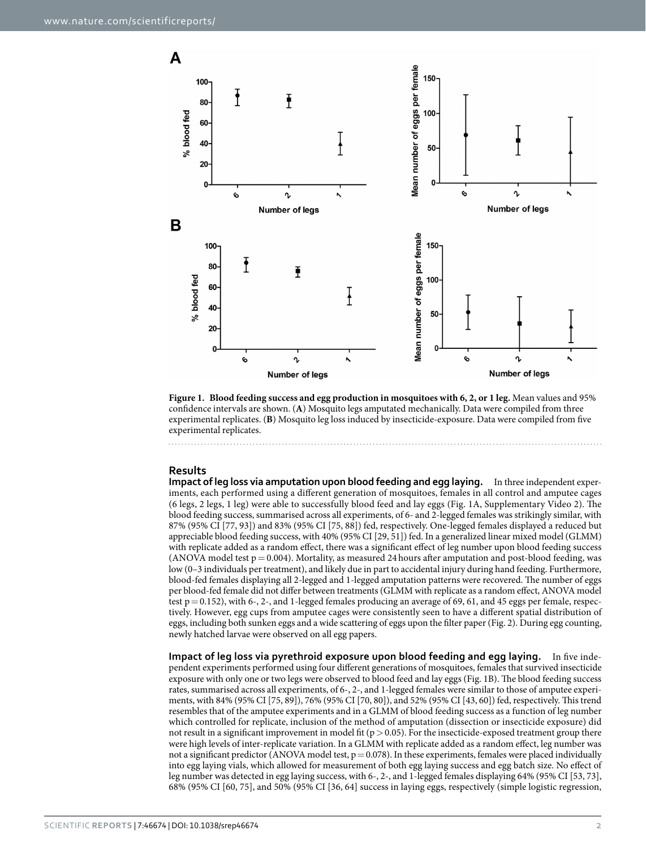

<span id="page-1-0"></span>**Figure 1.** Blood feeding success and egg production in mosquitoes with 6, 2, or 1 leg. Mean values and 95% confidence intervals are shown. (**A**) Mosquito legs amputated mechanically. Data were compiled from three experimental replicates. (**B**) Mosquito leg loss induced by insecticide-exposure. Data were compiled from five experimental replicates.

#### **Results**

**Impact of leg loss via amputation upon blood feeding and egg laying.** In three independent experiments, each performed using a different generation of mosquitoes, females in all control and amputee cages (6 legs, 2 legs, 1 leg) were able to successfully blood feed and lay eggs [\(Fig. 1A](#page-1-0), Supplementary Video 2). The blood feeding success, summarised across all experiments, of 6- and 2-legged females was strikingly similar, with 87% (95% CI [77, 93]) and 83% (95% CI [75, 88]) fed, respectively. One-legged females displayed a reduced but appreciable blood feeding success, with 40% (95% CI [29, 51]) fed. In a generalized linear mixed model (GLMM) with replicate added as a random effect, there was a significant effect of leg number upon blood feeding success (ANOVA model test  $p = 0.004$ ). Mortality, as measured 24 hours after amputation and post-blood feeding, was low (0–3 individuals per treatment), and likely due in part to accidental injury during hand feeding. Furthermore, blood-fed females displaying all 2-legged and 1-legged amputation patterns were recovered. The number of eggs per blood-fed female did not differ between treatments (GLMM with replicate as a random effect, ANOVA model test  $p = 0.152$ ), with 6-, 2-, and 1-legged females producing an average of 69, 61, and 45 eggs per female, respectively. However, egg cups from amputee cages were consistently seen to have a different spatial distribution of eggs, including both sunken eggs and a wide scattering of eggs upon the filter paper ([Fig. 2](#page-2-0)). During egg counting, newly hatched larvae were observed on all egg papers.

**Impact of leg loss via pyrethroid exposure upon blood feeding and egg laying.** In five independent experiments performed using four different generations of mosquitoes, females that survived insecticide exposure with only one or two legs were observed to blood feed and lay eggs [\(Fig. 1B](#page-1-0)). The blood feeding success rates, summarised across all experiments, of 6-, 2-, and 1-legged females were similar to those of amputee experiments, with 84% (95% CI [75, 89]), 76% (95% CI [70, 80]), and 52% (95% CI [43, 60]) fed, respectively. This trend resembles that of the amputee experiments and in a GLMM of blood feeding success as a function of leg number which controlled for replicate, inclusion of the method of amputation (dissection or insecticide exposure) did not result in a significant improvement in model fit ( $p > 0.05$ ). For the insecticide-exposed treatment group there were high levels of inter-replicate variation. In a GLMM with replicate added as a random effect, leg number was not a significant predictor (ANOVA model test,  $p= 0.078$ ). In these experiments, females were placed individually into egg laying vials, which allowed for measurement of both egg laying success and egg batch size. No effect of leg number was detected in egg laying success, with 6-, 2-, and 1-legged females displaying 64% (95% CI [53, 73], 68% (95% CI [60, 75], and 50% (95% CI [36, 64] success in laying eggs, respectively (simple logistic regression,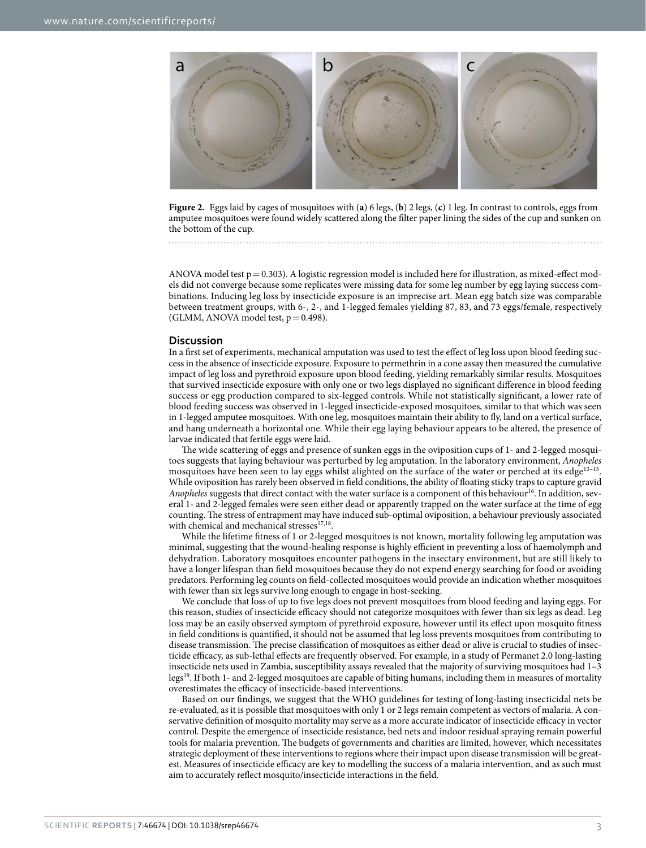

<span id="page-2-0"></span>**Figure 2.** Eggs laid by cages of mosquitoes with (**a**) 6 legs, (**b**) 2 legs, (**c**) 1 leg. In contrast to controls, eggs from amputee mosquitoes were found widely scattered along the filter paper lining the sides of the cup and sunken on the bottom of the cup.

ANOVA model test  $p=0.303$ . A logistic regression model is included here for illustration, as mixed-effect models did not converge because some replicates were missing data for some leg number by egg laying success combinations. Inducing leg loss by insecticide exposure is an imprecise art. Mean egg batch size was comparable between treatment groups, with 6-, 2-, and 1-legged females yielding 87, 83, and 73 eggs/female, respectively (GLMM, ANOVA model test,  $p = 0.498$ ).

#### **Discussion**

In a first set of experiments, mechanical amputation was used to test the effect of leg loss upon blood feeding success in the absence of insecticide exposure. Exposure to permethrin in a cone assay then measured the cumulative impact of leg loss and pyrethroid exposure upon blood feeding, yielding remarkably similar results. Mosquitoes that survived insecticide exposure with only one or two legs displayed no significant difference in blood feeding success or egg production compared to six-legged controls. While not statistically significant, a lower rate of blood feeding success was observed in 1-legged insecticide-exposed mosquitoes, similar to that which was seen in 1-legged amputee mosquitoes. With one leg, mosquitoes maintain their ability to fly, land on a vertical surface, and hang underneath a horizontal one. While their egg laying behaviour appears to be altered, the presence of larvae indicated that fertile eggs were laid.

The wide scattering of eggs and presence of sunken eggs in the oviposition cups of 1- and 2-legged mosquitoes suggests that laying behaviour was perturbed by leg amputation. In the laboratory environment, *Anopheles* mosquitoes have been seen to lay eggs whilst alighted on the surface of the water or perched at its edge $13-15$ . While oviposition has rarely been observed in field conditions, the ability of floating sticky traps to capture gravid *Anopheles* suggests that direct contact with the water surface is a component of this behaviour<sup>[16](#page-4-5)</sup>. In addition, several 1- and 2-legged females were seen either dead or apparently trapped on the water surface at the time of egg counting. The stress of entrapment may have induced sub-optimal oviposition, a behaviour previously associated with chemical and mechanical stresses<sup>[17](#page-4-6),[18](#page-4-7)</sup>.

While the lifetime fitness of 1 or 2-legged mosquitoes is not known, mortality following leg amputation was minimal, suggesting that the wound-healing response is highly efficient in preventing a loss of haemolymph and dehydration. Laboratory mosquitoes encounter pathogens in the insectary environment, but are still likely to have a longer lifespan than field mosquitoes because they do not expend energy searching for food or avoiding predators. Performing leg counts on field-collected mosquitoes would provide an indication whether mosquitoes with fewer than six legs survive long enough to engage in host-seeking.

We conclude that loss of up to five legs does not prevent mosquitoes from blood feeding and laying eggs. For this reason, studies of insecticide efficacy should not categorize mosquitoes with fewer than six legs as dead. Leg loss may be an easily observed symptom of pyrethroid exposure, however until its effect upon mosquito fitness in field conditions is quantified, it should not be assumed that leg loss prevents mosquitoes from contributing to disease transmission. The precise classification of mosquitoes as either dead or alive is crucial to studies of insecticide efficacy, as sub-lethal effects are frequently observed. For example, in a study of Permanet 2.0 long-lasting insecticide nets used in Zambia, susceptibility assays revealed that the majority of surviving mosquitoes had 1–3 leg[s19.](#page-4-8) If both 1- and 2-legged mosquitoes are capable of biting humans, including them in measures of mortality overestimates the efficacy of insecticide-based interventions.

Based on our findings, we suggest that the WHO guidelines for testing of long-lasting insecticidal nets be re-evaluated, as it is possible that mosquitoes with only 1 or 2 legs remain competent as vectors of malaria. A conservative definition of mosquito mortality may serve as a more accurate indicator of insecticide efficacy in vector control. Despite the emergence of insecticide resistance, bed nets and indoor residual spraying remain powerful tools for malaria prevention. The budgets of governments and charities are limited, however, which necessitates strategic deployment of these interventions to regions where their impact upon disease transmission will be greatest. Measures of insecticide efficacy are key to modelling the success of a malaria intervention, and as such must aim to accurately reflect mosquito/insecticide interactions in the field.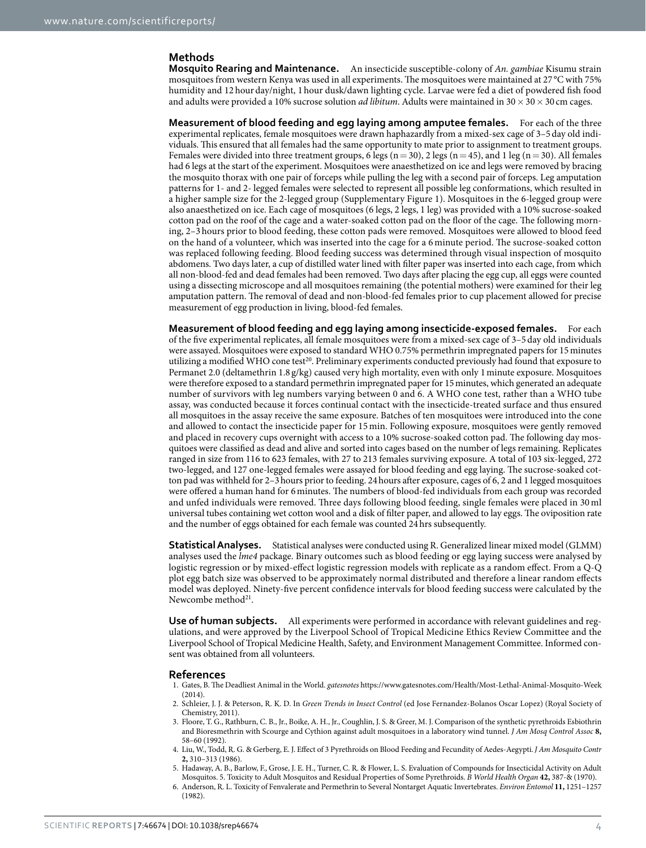### **Methods**

**Mosquito Rearing and Maintenance.** An insecticide susceptible-colony of *An. gambiae* Kisumu strain mosquitoes from western Kenya was used in all experiments. The mosquitoes were maintained at 27 °C with 75% humidity and 12 hour day/night, 1 hour dusk/dawn lighting cycle. Larvae were fed a diet of powdered fish food and adults were provided a 10% sucrose solution *ad libitum*. Adults were maintained in  $30 \times 30 \times 30$  cm cages.

**Measurement of blood feeding and egg laying among amputee females.** For each of the three experimental replicates, female mosquitoes were drawn haphazardly from a mixed-sex cage of 3–5day old individuals. This ensured that all females had the same opportunity to mate prior to assignment to treatment groups. Females were divided into three treatment groups, 6 legs (n = 30), 2 legs (n = 45), and 1 leg (n = 30). All females had 6 legs at the start of the experiment. Mosquitoes were anaesthetized on ice and legs were removed by bracing the mosquito thorax with one pair of forceps while pulling the leg with a second pair of forceps. Leg amputation patterns for 1- and 2- legged females were selected to represent all possible leg conformations, which resulted in a higher sample size for the 2-legged group (Supplementary Figure 1). Mosquitoes in the 6-legged group were also anaesthetized on ice. Each cage of mosquitoes (6 legs, 2 legs, 1 leg) was provided with a 10% sucrose-soaked cotton pad on the roof of the cage and a water-soaked cotton pad on the floor of the cage. The following morning, 2–3 hours prior to blood feeding, these cotton pads were removed. Mosquitoes were allowed to blood feed on the hand of a volunteer, which was inserted into the cage for a 6 minute period. The sucrose-soaked cotton was replaced following feeding. Blood feeding success was determined through visual inspection of mosquito abdomens. Two days later, a cup of distilled water lined with filter paper was inserted into each cage, from which all non-blood-fed and dead females had been removed. Two days after placing the egg cup, all eggs were counted using a dissecting microscope and all mosquitoes remaining (the potential mothers) were examined for their leg amputation pattern. The removal of dead and non-blood-fed females prior to cup placement allowed for precise measurement of egg production in living, blood-fed females.

**Measurement of blood feeding and egg laying among insecticide-exposed females.** For each of the five experimental replicates, all female mosquitoes were from a mixed-sex cage of 3–5day old individuals were assayed. Mosquitoes were exposed to standard WHO 0.75% permethrin impregnated papers for 15 minutes utilizing a modified WHO cone test<sup>[20](#page-4-9)</sup>. Preliminary experiments conducted previously had found that exposure to Permanet 2.0 (deltamethrin 1.8 g/kg) caused very high mortality, even with only 1minute exposure. Mosquitoes were therefore exposed to a standard permethrin impregnated paper for 15minutes, which generated an adequate number of survivors with leg numbers varying between 0 and 6. A WHO cone test, rather than a WHO tube assay, was conducted because it forces continual contact with the insecticide-treated surface and thus ensured all mosquitoes in the assay receive the same exposure. Batches of ten mosquitoes were introduced into the cone and allowed to contact the insecticide paper for 15 min. Following exposure, mosquitoes were gently removed and placed in recovery cups overnight with access to a 10% sucrose-soaked cotton pad. The following day mosquitoes were classified as dead and alive and sorted into cages based on the number of legs remaining. Replicates ranged in size from 116 to 623 females, with 27 to 213 females surviving exposure. A total of 103 six-legged, 272 two-legged, and 127 one-legged females were assayed for blood feeding and egg laying. The sucrose-soaked cotton pad was withheld for 2–3hours prior to feeding. 24hours after exposure, cages of 6, 2 and 1 legged mosquitoes were offered a human hand for 6minutes. The numbers of blood-fed individuals from each group was recorded and unfed individuals were removed. Three days following blood feeding, single females were placed in 30 ml universal tubes containing wet cotton wool and a disk of filter paper, and allowed to lay eggs. The oviposition rate and the number of eggs obtained for each female was counted 24hrs subsequently.

**Statistical Analyses.** Statistical analyses were conducted using R. Generalized linear mixed model (GLMM) analyses used the *lme4* package. Binary outcomes such as blood feeding or egg laying success were analysed by logistic regression or by mixed-effect logistic regression models with replicate as a random effect. From a Q-Q plot egg batch size was observed to be approximately normal distributed and therefore a linear random effects model was deployed. Ninety-five percent confidence intervals for blood feeding success were calculated by the Newcombe method<sup>21</sup>.

**Use of human subjects.** All experiments were performed in accordance with relevant guidelines and regulations, and were approved by the Liverpool School of Tropical Medicine Ethics Review Committee and the Liverpool School of Tropical Medicine Health, Safety, and Environment Management Committee. Informed consent was obtained from all volunteers.

#### **References**

- <span id="page-3-0"></span>1. Gates, B. The Deadliest Animal in the World. *gatesnotes* <https://www.gatesnotes.com/Health/Most-Lethal-Animal-Mosquito-Week> (2014).
- <span id="page-3-1"></span>2. Schleier, J. J. & Peterson, R. K. D. In *Green Trends in Insect Control* (ed Jose Fernandez-Bolanos Oscar Lopez) (Royal Society of Chemistry, 2011).
- <span id="page-3-2"></span>3. Floore, T. G., Rathburn, C. B., Jr., Boike, A. H., Jr., Coughlin, J. S. & Greer, M. J. Comparison of the synthetic pyrethroids Esbiothrin and Bioresmethrin with Scourge and Cythion against adult mosquitoes in a laboratory wind tunnel. *J Am Mosq Control Assoc* **8,** 58–60 (1992).
- 4. Liu, W., Todd, R. G. & Gerberg, E. J. Effect of 3 Pyrethroids on Blood Feeding and Fecundity of Aedes-Aegypti. *J Am Mosquito Contr* **2,** 310–313 (1986).
- 5. Hadaway, A. B., Barlow, F., Grose, J. E. H., Turner, C. R. & Flower, L. S. Evaluation of Compounds for Insecticidal Activity on Adult Mosquitos. 5. Toxicity to Adult Mosquitos and Residual Properties of Some Pyrethroids. *B World Health Organ* **42,** 387-& (1970).
- <span id="page-3-3"></span>6. Anderson, R. L. Toxicity of Fenvalerate and Permethrin to Several Nontarget Aquatic Invertebrates. *Environ Entomol* **11,** 1251–1257 (1982).